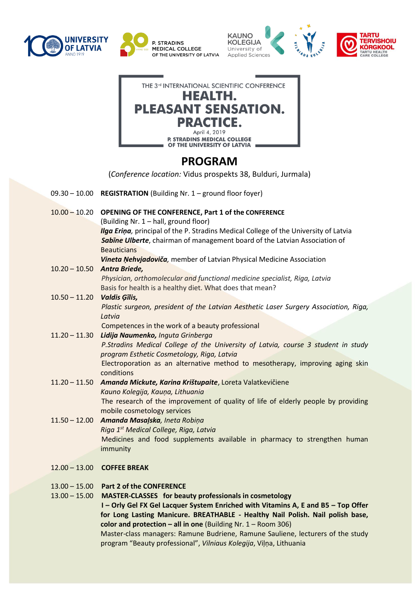







## **PROGRAM**

(*Conference location:* Vidus prospekts 38, Bulduri, Jurmala)

- 09.30 10.00 **REGISTRATION** (Building Nr. 1 ground floor foyer)
- 10.00 10.20 **OPENING OF THE CONFERENCE, Part 1 of the CONFERENCE** (Building Nr. 1 – hall, ground floor) *Ilga Erina*, principal of the P. Stradins Medical College of the University of Latvia *Sabīne Ulberte*, chairman of management board of the Latvian Association of **Beauticians** *Vineta Ņehvjadoviča,* member of Latvian Physical Medicine Association
- 10.20 10.50 *Antra Briede, Physician, orthomolecular and functional medicine specialist, Riga, Latvia* Basis for health is a healthy diet. What does that mean?
- 10.50 11.20 *Valdis Ģīlis, Plastic surgeon, president of the Latvian Aesthetic Laser Surgery Association, Riga, Latvia*
- Competences in the work of a beauty professional 11.20 – 11.30 *Lidija Naumenko, Inguta Grinberga*
	- *P.Stradins Medical College of the University of Latvia, course 3 student in study program Esthetic Cosmetology, Riga, Latvia*  Electroporation as an alternative method to mesotherapy, improving aging skin conditions
- 11.20 11.50 *Amanda Mickute, Karina Krištupaite*, Loreta Valatkevičiene *Kauno Kolegija, Kauņa, Lithuania* The research of the improvement of quality of life of elderly people by providing mobile cosmetology services
- 11.50 12.00 *Amanda Masaļska, Ineta Robiņa Riga 1st Medical College, Riga, Latvia*  Medicines and food supplements available in pharmacy to strengthen human immunity
- 12.00 13.00 **COFFEE BREAK**
- 13.00 15.00 **Part 2 of the CONFERENCE**
- 13.00 15.00 **MASTER-CLASSES for beauty professionals in cosmetology**

**I – Orly Gel FX Gel Lacquer System Enriched with Vitamins A, E and B5 – Top Offer for Long Lasting Manicure. BREATHABLE - Healthy Nail Polish. Nail polish base, color and protection – all in one** (Building Nr. 1 – Room 306)

Master-class managers: Ramune Budriene, Ramune Sauliene, lecturers of the study program "Beauty professional", *Vilniaus Kolegija*, Viļņa, Lithuania